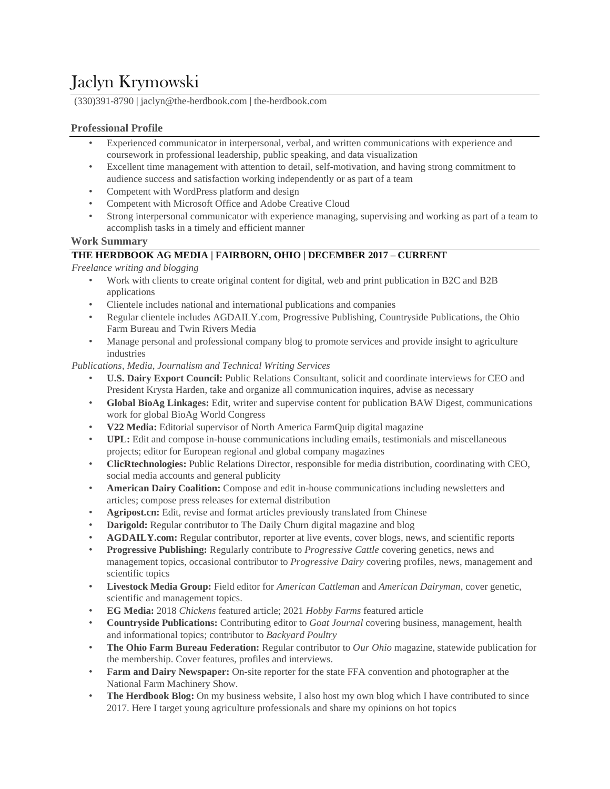# Jaclyn Krymowski

(330)391-8790 | jaclyn@the-herdbook.com | the-herdbook.com

# **Professional Profile**

- Experienced communicator in interpersonal, verbal, and written communications with experience and coursework in professional leadership, public speaking, and data visualization
- Excellent time management with attention to detail, self-motivation, and having strong commitment to audience success and satisfaction working independently or as part of a team
- Competent with WordPress platform and design
- Competent with Microsoft Office and Adobe Creative Cloud
- Strong interpersonal communicator with experience managing, supervising and working as part of a team to accomplish tasks in a timely and efficient manner

## **Work Summary**

# **THE HERDBOOK AG MEDIA | FAIRBORN, OHIO | DECEMBER 2017 – CURRENT**

*Freelance writing and blogging*

- Work with clients to create original content for digital, web and print publication in B2C and B2B applications
- Clientele includes national and international publications and companies
- Regular clientele includes AGDAILY.com, Progressive Publishing, Countryside Publications, the Ohio Farm Bureau and Twin Rivers Media
- Manage personal and professional company blog to promote services and provide insight to agriculture industries

## *Publications, Media, Journalism and Technical Writing Services*

- **U.S. Dairy Export Council:** Public Relations Consultant, solicit and coordinate interviews for CEO and President Krysta Harden, take and organize all communication inquires, advise as necessary
- **Global BioAg Linkages:** Edit, writer and supervise content for publication BAW Digest, communications work for global BioAg World Congress
- **V22 Media:** Editorial supervisor of North America FarmQuip digital magazine
- **UPL:** Edit and compose in-house communications including emails, testimonials and miscellaneous projects; editor for European regional and global company magazines
- **ClicRtechnologies:** Public Relations Director, responsible for media distribution, coordinating with CEO, social media accounts and general publicity
- **American Dairy Coalition:** Compose and edit in-house communications including newsletters and articles; compose press releases for external distribution
- **Agripost.cn:** Edit, revise and format articles previously translated from Chinese
- **Darigold:** Regular contributor to The Daily Churn digital magazine and blog
- **AGDAILY.com:** Regular contributor, reporter at live events, cover blogs, news, and scientific reports
- **Progressive Publishing:** Regularly contribute to *Progressive Cattle* covering genetics, news and management topics, occasional contributor to *Progressive Dairy* covering profiles, news, management and scientific topics
- **Livestock Media Group:** Field editor for *American Cattleman* and *American Dairyman*, cover genetic, scientific and management topics.
- **EG Media:** 2018 *Chickens* featured article; 2021 *Hobby Farms* featured article
- **Countryside Publications:** Contributing editor to *Goat Journal* covering business, management, health and informational topics; contributor to *Backyard Poultry*
- **The Ohio Farm Bureau Federation:** Regular contributor to *Our Ohio* magazine, statewide publication for the membership. Cover features, profiles and interviews.
- **Farm and Dairy Newspaper:** On-site reporter for the state FFA convention and photographer at the National Farm Machinery Show.
- **The Herdbook Blog:** On my business website, I also host my own blog which I have contributed to since 2017. Here I target young agriculture professionals and share my opinions on hot topics